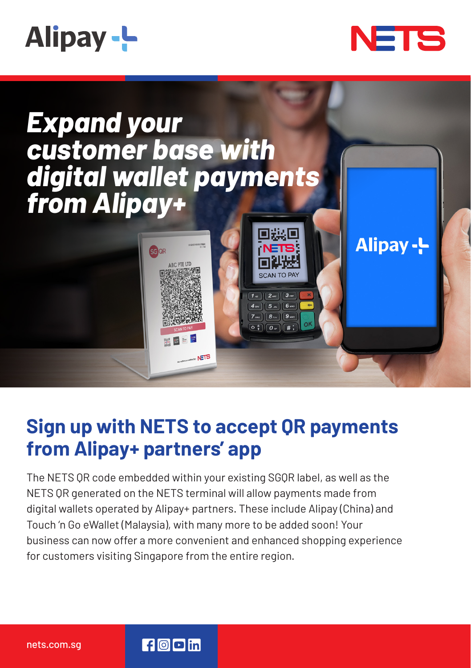





## **Sign up with NETS to accept QR payments from Alipay+ partners' app**

The NETS QR code embedded within your existing SGQR label, as well as the NETS QR generated on the NETS terminal will allow payments made from digital wallets operated by Alipay+ partners. These include Alipay (China) and Touch 'n Go eWallet (Malaysia), with many more to be added soon! Your business can now offer a more convenient and enhanced shopping experience for customers visiting Singapore from the entire region.

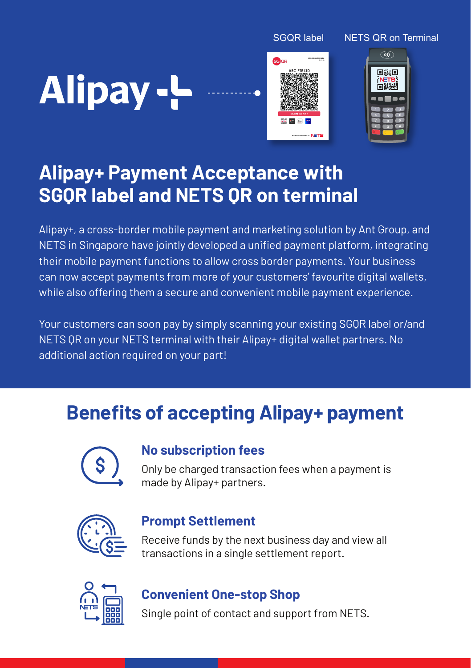SGQR label NETS QR on Terminal

# Alipay-L





## **Alipay+ Payment Acceptance with SGQR label and NETS QR on terminal**

Alipay+, a cross-border mobile payment and marketing solution by Ant Group, and NETS in Singapore have jointly developed a unified payment platform, integrating their mobile payment functions to allow cross border payments. Your business can now accept payments from more of your customers' favourite digital wallets, while also offering them a secure and convenient mobile payment experience.

Your customers can soon pay by simply scanning your existing SGQR label or/and NETS QR on your NETS terminal with their Alipay+ digital wallet partners. No additional action required on your part!

## **Benefits of accepting Alipay+ payment**



#### **No subscription fees**

Only be charged transaction fees when a payment is made by Alipay+ partners.



#### **Prompt Settlement**

Receive funds by the next business day and view all transactions in a single settlement report.



### **Convenient One-stop Shop**

Single point of contact and support from NETS.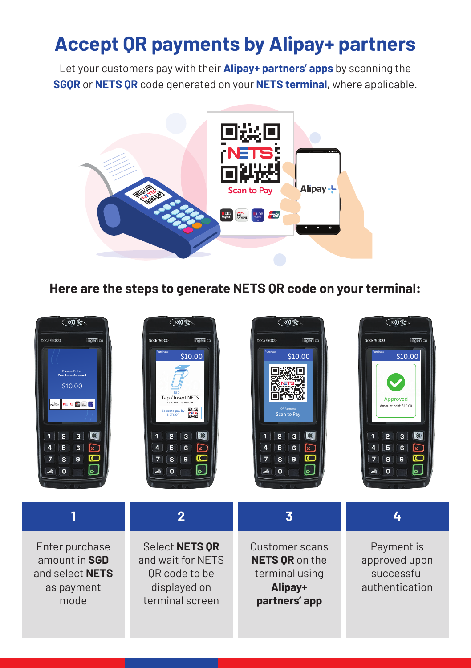## **Accept QR payments by Alipay+ partners**

Let your customers pay with their **Alipay+ partners' apps** by scanning the **SGQR** or **NETS QR** code generated on your **NETS terminal**, where applicable.



**Here are the steps to generate NETS QR code on your terminal:**